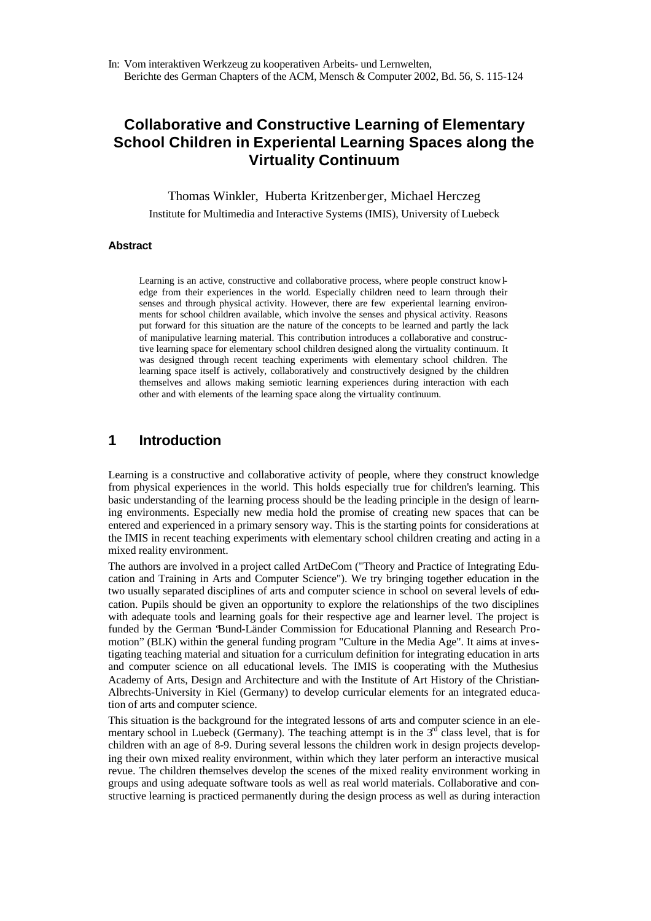# **Collaborative and Constructive Learning of Elementary School Children in Experiental Learning Spaces along the Virtuality Continuum**

Thomas Winkler, Huberta Kritzenberger, Michael Herczeg

Institute for Multimedia and Interactive Systems (IMIS), University of Luebeck

#### **Abstract**

Learning is an active, constructive and collaborative process, where people construct knowledge from their experiences in the world. Especially children need to learn through their senses and through physical activity. However, there are few experiental learning environments for school children available, which involve the senses and physical activity. Reasons put forward for this situation are the nature of the concepts to be learned and partly the lack of manipulative learning material. This contribution introduces a collaborative and constructive learning space for elementary school children designed along the virtuality continuum. It was designed through recent teaching experiments with elementary school children. The learning space itself is actively, collaboratively and constructively designed by the children themselves and allows making semiotic learning experiences during interaction with each other and with elements of the learning space along the virtuality continuum.

## **1 Introduction**

Learning is a constructive and collaborative activity of people, where they construct knowledge from physical experiences in the world. This holds especially true for children's learning. This basic understanding of the learning process should be the leading principle in the design of learning environments. Especially new media hold the promise of creating new spaces that can be entered and experienced in a primary sensory way. This is the starting points for considerations at the IMIS in recent teaching experiments with elementary school children creating and acting in a mixed reality environment.

The authors are involved in a project called ArtDeCom ("Theory and Practice of Integrating Education and Training in Arts and Computer Science"). We try bringing together education in the two usually separated disciplines of arts and computer science in school on several levels of education. Pupils should be given an opportunity to explore the relationships of the two disciplines with adequate tools and learning goals for their respective age and learner level. The project is funded by the German "Bund-Länder Commission for Educational Planning and Research Promotion" (BLK) within the general funding program "Culture in the Media Age". It aims at investigating teaching material and situation for a curriculum definition for integrating education in arts and computer science on all educational levels. The IMIS is cooperating with the Muthesius Academy of Arts, Design and Architecture and with the Institute of Art History of the Christian-Albrechts-University in Kiel (Germany) to develop curricular elements for an integrated education of arts and computer science.

This situation is the background for the integrated lessons of arts and computer science in an elementary school in Luebeck (Germany). The teaching attempt is in the  $3<sup>rd</sup>$  class level, that is for children with an age of 8-9. During several lessons the children work in design projects developing their own mixed reality environment, within which they later perform an interactive musical revue. The children themselves develop the scenes of the mixed reality environment working in groups and using adequate software tools as well as real world materials. Collaborative and constructive learning is practiced permanently during the design process as well as during interaction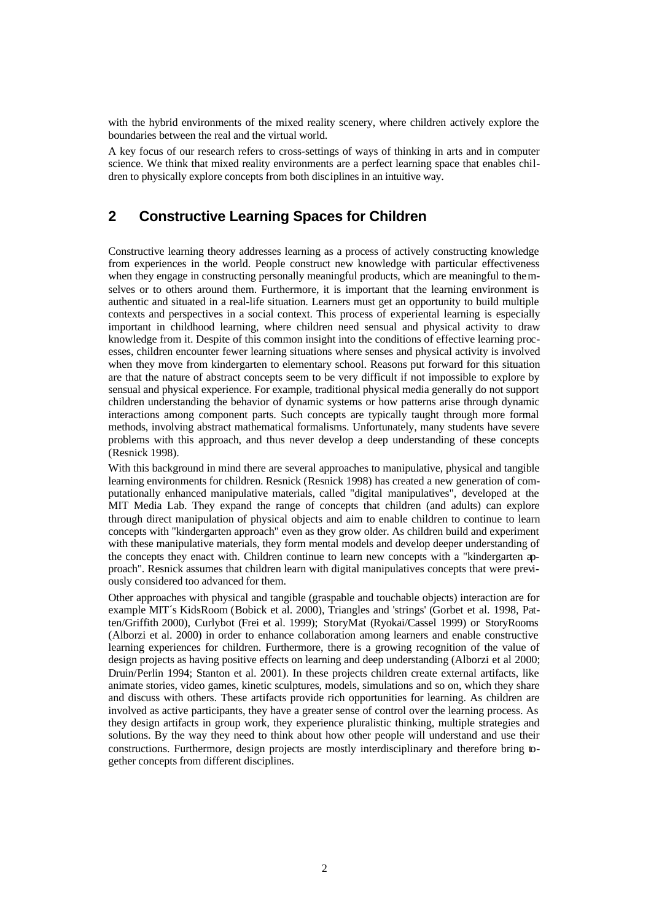with the hybrid environments of the mixed reality scenery, where children actively explore the boundaries between the real and the virtual world.

A key focus of our research refers to cross-settings of ways of thinking in arts and in computer science. We think that mixed reality environments are a perfect learning space that enables children to physically explore concepts from both disciplines in an intuitive way.

# **2 Constructive Learning Spaces for Children**

Constructive learning theory addresses learning as a process of actively constructing knowledge from experiences in the world. People construct new knowledge with particular effectiveness when they engage in constructing personally meaningful products, which are meaningful to the mselves or to others around them. Furthermore, it is important that the learning environment is authentic and situated in a real-life situation. Learners must get an opportunity to build multiple contexts and perspectives in a social context. This process of experiental learning is especially important in childhood learning, where children need sensual and physical activity to draw knowledge from it. Despite of this common insight into the conditions of effective learning processes, children encounter fewer learning situations where senses and physical activity is involved when they move from kindergarten to elementary school. Reasons put forward for this situation are that the nature of abstract concepts seem to be very difficult if not impossible to explore by sensual and physical experience. For example, traditional physical media generally do not support children understanding the behavior of dynamic systems or how patterns arise through dynamic interactions among component parts. Such concepts are typically taught through more formal methods, involving abstract mathematical formalisms. Unfortunately, many students have severe problems with this approach, and thus never develop a deep understanding of these concepts (Resnick 1998).

With this background in mind there are several approaches to manipulative, physical and tangible learning environments for children. Resnick (Resnick 1998) has created a new generation of computationally enhanced manipulative materials, called "digital manipulatives", developed at the MIT Media Lab. They expand the range of concepts that children (and adults) can explore through direct manipulation of physical objects and aim to enable children to continue to learn concepts with "kindergarten approach" even as they grow older. As children build and experiment with these manipulative materials, they form mental models and develop deeper understanding of the concepts they enact with. Children continue to learn new concepts with a "kindergarten approach". Resnick assumes that children learn with digital manipulatives concepts that were previously considered too advanced for them.

Other approaches with physical and tangible (graspable and touchable objects) interaction are for example MIT´s KidsRoom (Bobick et al. 2000), Triangles and 'strings' (Gorbet et al. 1998, Patten/Griffith 2000), Curlybot (Frei et al. 1999); StoryMat (Ryokai/Cassel 1999) or StoryRooms (Alborzi et al. 2000) in order to enhance collaboration among learners and enable constructive learning experiences for children. Furthermore, there is a growing recognition of the value of design projects as having positive effects on learning and deep understanding (Alborzi et al 2000; Druin/Perlin 1994; Stanton et al. 2001). In these projects children create external artifacts, like animate stories, video games, kinetic sculptures, models, simulations and so on, which they share and discuss with others. These artifacts provide rich opportunities for learning. As children are involved as active participants, they have a greater sense of control over the learning process. As they design artifacts in group work, they experience pluralistic thinking, multiple strategies and solutions. By the way they need to think about how other people will understand and use their constructions. Furthermore, design projects are mostly interdisciplinary and therefore bring together concepts from different disciplines.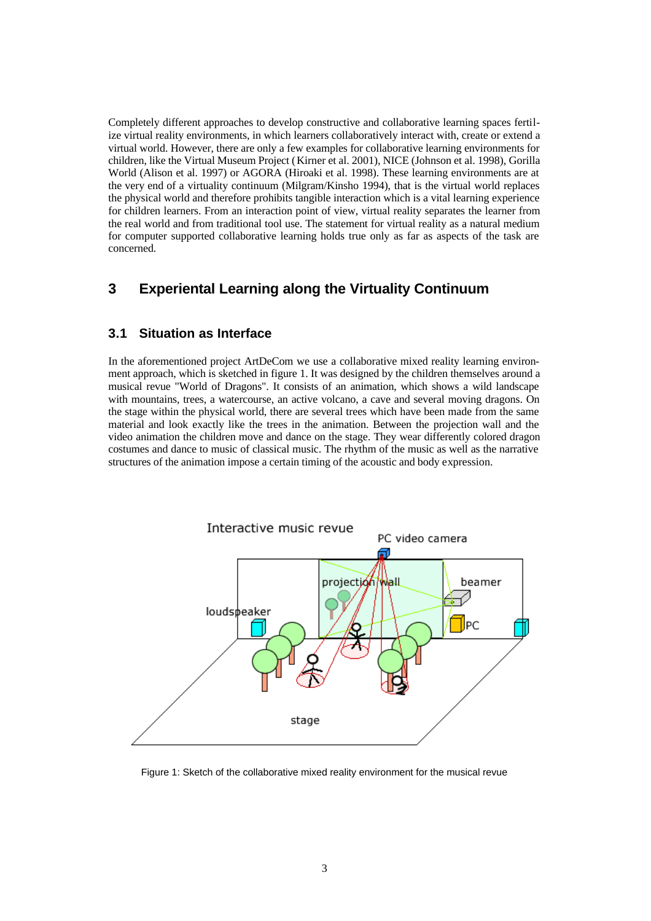Completely different approaches to develop constructive and collaborative learning spaces fertilize virtual reality environments, in which learners collaboratively interact with, create or extend a virtual world. However, there are only a few examples for collaborative learning environments for children, like the Virtual Museum Project (Kirner et al. 2001), NICE (Johnson et al. 1998), Gorilla World (Alison et al. 1997) or AGORA (Hiroaki et al. 1998). These learning environments are at the very end of a virtuality continuum (Milgram/Kinsho 1994), that is the virtual world replaces the physical world and therefore prohibits tangible interaction which is a vital learning experience for children learners. From an interaction point of view, virtual reality separates the learner from the real world and from traditional tool use. The statement for virtual reality as a natural medium for computer supported collaborative learning holds true only as far as aspects of the task are concerned.

# **3 Experiental Learning along the Virtuality Continuum**

#### **3.1 Situation as Interface**

In the aforementioned project ArtDeCom we use a collaborative mixed reality learning environment approach, which is sketched in figure 1. It was designed by the children themselves around a musical revue "World of Dragons". It consists of an animation, which shows a wild landscape with mountains, trees, a watercourse, an active volcano, a cave and several moving dragons. On the stage within the physical world, there are several trees which have been made from the same material and look exactly like the trees in the animation. Between the projection wall and the video animation the children move and dance on the stage. They wear differently colored dragon costumes and dance to music of classical music. The rhythm of the music as well as the narrative structures of the animation impose a certain timing of the acoustic and body expression.



Figure 1: Sketch of the collaborative mixed reality environment for the musical revue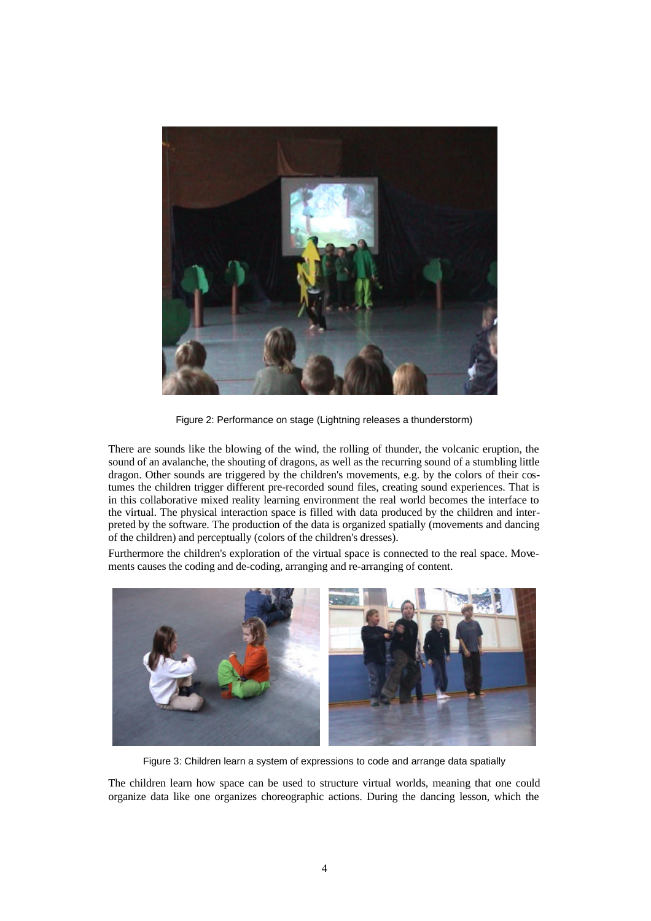

Figure 2: Performance on stage (Lightning releases a thunderstorm)

There are sounds like the blowing of the wind, the rolling of thunder, the volcanic eruption, the sound of an avalanche, the shouting of dragons, as well as the recurring sound of a stumbling little dragon. Other sounds are triggered by the children's movements, e.g. by the colors of their costumes the children trigger different pre-recorded sound files, creating sound experiences. That is in this collaborative mixed reality learning environment the real world becomes the interface to the virtual. The physical interaction space is filled with data produced by the children and interpreted by the software. The production of the data is organized spatially (movements and dancing of the children) and perceptually (colors of the children's dresses).

Furthermore the children's exploration of the virtual space is connected to the real space. Movements causes the coding and de-coding, arranging and re-arranging of content.



Figure 3: Children learn a system of expressions to code and arrange data spatially

The children learn how space can be used to structure virtual worlds, meaning that one could organize data like one organizes choreographic actions. During the dancing lesson, which the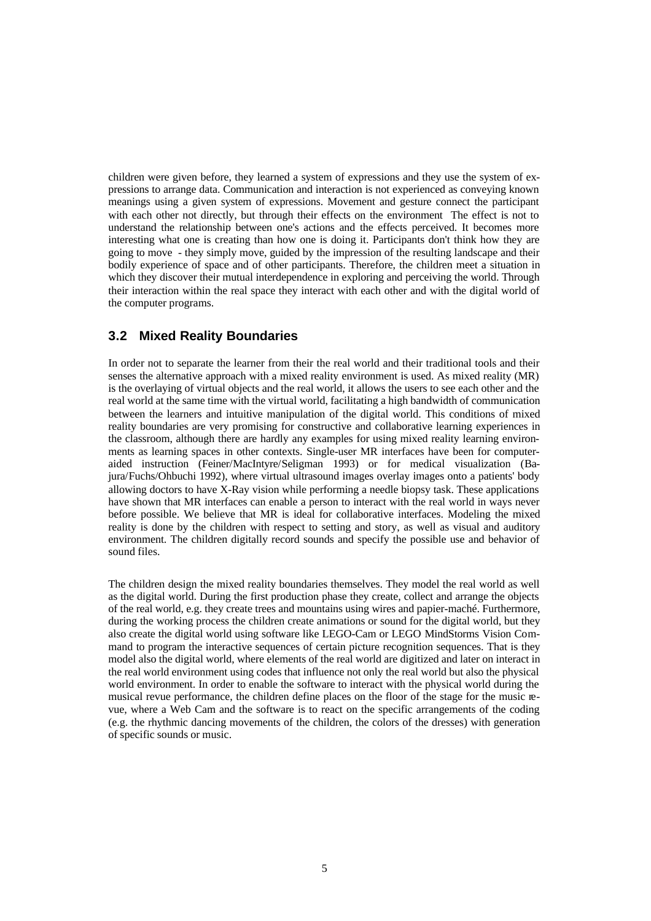children were given before, they learned a system of expressions and they use the system of expressions to arrange data. Communication and interaction is not experienced as conveying known meanings using a given system of expressions. Movement and gesture connect the participant with each other not directly, but through their effects on the environment The effect is not to understand the relationship between one's actions and the effects perceived. It becomes more interesting what one is creating than how one is doing it. Participants don't think how they are going to move - they simply move, guided by the impression of the resulting landscape and their bodily experience of space and of other participants. Therefore, the children meet a situation in which they discover their mutual interdependence in exploring and perceiving the world. Through their interaction within the real space they interact with each other and with the digital world of the computer programs.

#### **3.2 Mixed Reality Boundaries**

In order not to separate the learner from their the real world and their traditional tools and their senses the alternative approach with a mixed reality environment is used. As mixed reality (MR) is the overlaying of virtual objects and the real world, it allows the users to see each other and the real world at the same time with the virtual world, facilitating a high bandwidth of communication between the learners and intuitive manipulation of the digital world. This conditions of mixed reality boundaries are very promising for constructive and collaborative learning experiences in the classroom, although there are hardly any examples for using mixed reality learning environments as learning spaces in other contexts. Single-user MR interfaces have been for computeraided instruction (Feiner/MacIntyre/Seligman 1993) or for medical visualization (Bajura/Fuchs/Ohbuchi 1992), where virtual ultrasound images overlay images onto a patients' body allowing doctors to have X-Ray vision while performing a needle biopsy task. These applications have shown that MR interfaces can enable a person to interact with the real world in ways never before possible. We believe that MR is ideal for collaborative interfaces. Modeling the mixed reality is done by the children with respect to setting and story, as well as visual and auditory environment. The children digitally record sounds and specify the possible use and behavior of sound files.

The children design the mixed reality boundaries themselves. They model the real world as well as the digital world. During the first production phase they create, collect and arrange the objects of the real world, e.g. they create trees and mountains using wires and papier-maché. Furthermore, during the working process the children create animations or sound for the digital world, but they also create the digital world using software like LEGO-Cam or LEGO MindStorms Vision Command to program the interactive sequences of certain picture recognition sequences. That is they model also the digital world, where elements of the real world are digitized and later on interact in the real world environment using codes that influence not only the real world but also the physical world environment. In order to enable the software to interact with the physical world during the musical revue performance, the children define places on the floor of the stage for the music revue, where a Web Cam and the software is to react on the specific arrangements of the coding (e.g. the rhythmic dancing movements of the children, the colors of the dresses) with generation of specific sounds or music.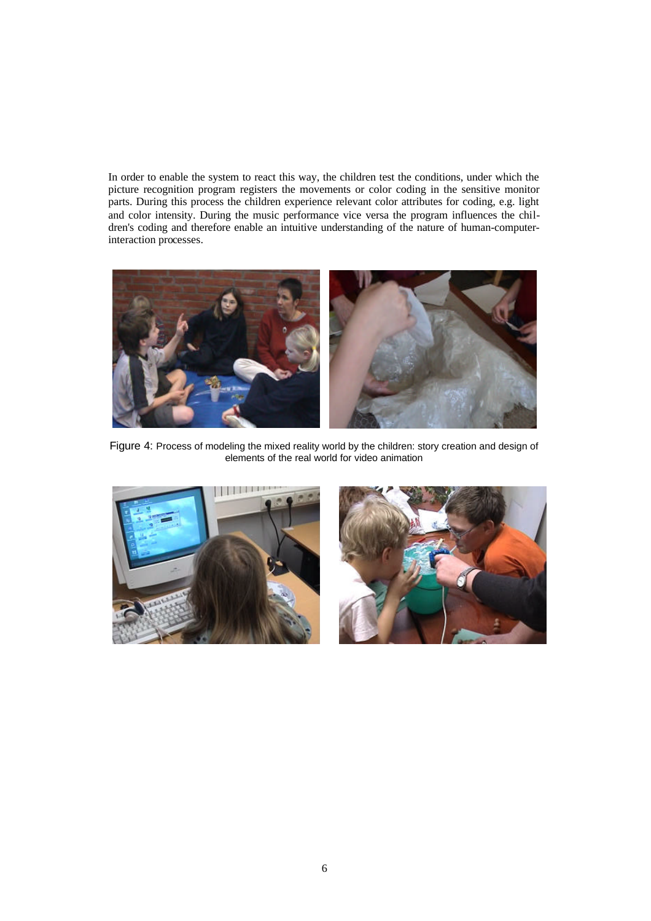In order to enable the system to react this way, the children test the conditions, under which the picture recognition program registers the movements or color coding in the sensitive monitor parts. During this process the children experience relevant color attributes for coding, e.g. light and color intensity. During the music performance vice versa the program influences the children's coding and therefore enable an intuitive understanding of the nature of human-computerinteraction processes.



Figure 4: Process of modeling the mixed reality world by the children: story creation and design of elements of the real world for video animation



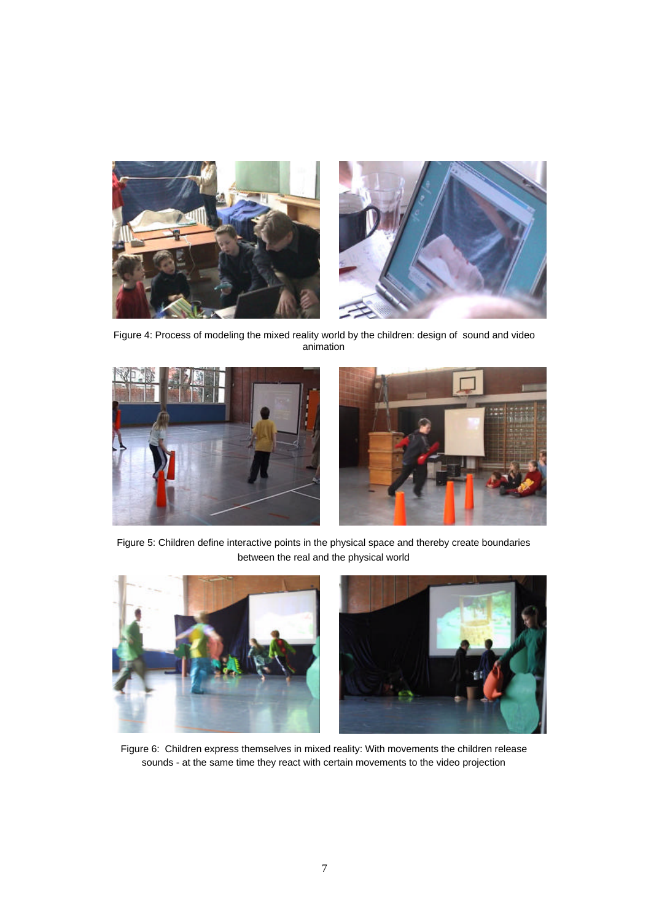

Figure 4: Process of modeling the mixed reality world by the children: design of sound and video animation





Figure 5: Children define interactive points in the physical space and thereby create boundaries between the real and the physical world



Figure 6: Children express themselves in mixed reality: With movements the children release sounds - at the same time they react with certain movements to the video projection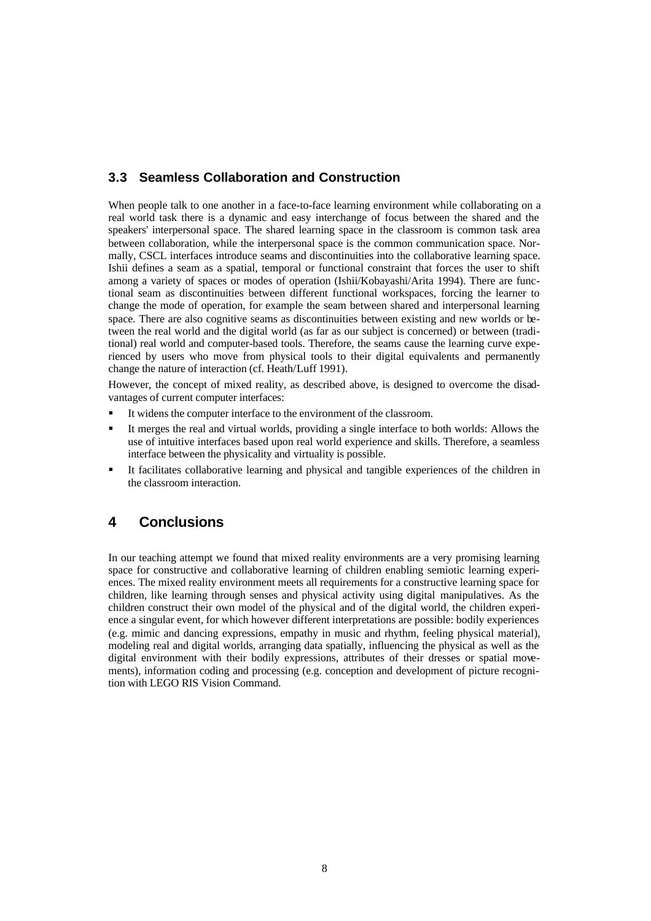## **3.3 Seamless Collaboration and Construction**

When people talk to one another in a face-to-face learning environment while collaborating on a real world task there is a dynamic and easy interchange of focus between the shared and the speakers' interpersonal space. The shared learning space in the classroom is common task area between collaboration, while the interpersonal space is the common communication space. Normally, CSCL interfaces introduce seams and discontinuities into the collaborative learning space. Ishii defines a seam as a spatial, temporal or functional constraint that forces the user to shift among a variety of spaces or modes of operation (Ishii/Kobayashi/Arita 1994). There are functional seam as discontinuities between different functional workspaces, forcing the learner to change the mode of operation, for example the seam between shared and interpersonal learning space. There are also cognitive seams as discontinuities between existing and new worlds or between the real world and the digital world (as far as our subject is concerned) or between (traditional) real world and computer-based tools. Therefore, the seams cause the learning curve experienced by users who move from physical tools to their digital equivalents and permanently change the nature of interaction (cf. Heath/Luff 1991).

However, the concept of mixed reality, as described above, is designed to overcome the disadvantages of current computer interfaces:

- ß It widens the computer interface to the environment of the classroom.
- ß It merges the real and virtual worlds, providing a single interface to both worlds: Allows the use of intuitive interfaces based upon real world experience and skills. Therefore, a seamless interface between the physicality and virtuality is possible.
- ß It facilitates collaborative learning and physical and tangible experiences of the children in the classroom interaction.

## **4 Conclusions**

In our teaching attempt we found that mixed reality environments are a very promising learning space for constructive and collaborative learning of children enabling semiotic learning experiences. The mixed reality environment meets all requirements for a constructive learning space for children, like learning through senses and physical activity using digital manipulatives. As the children construct their own model of the physical and of the digital world, the children experience a singular event, for which however different interpretations are possible: bodily experiences (e.g. mimic and dancing expressions, empathy in music and rhythm, feeling physical material), modeling real and digital worlds, arranging data spatially, influencing the physical as well as the digital environment with their bodily expressions, attributes of their dresses or spatial movements), information coding and processing (e.g. conception and development of picture recognition with LEGO RIS Vision Command.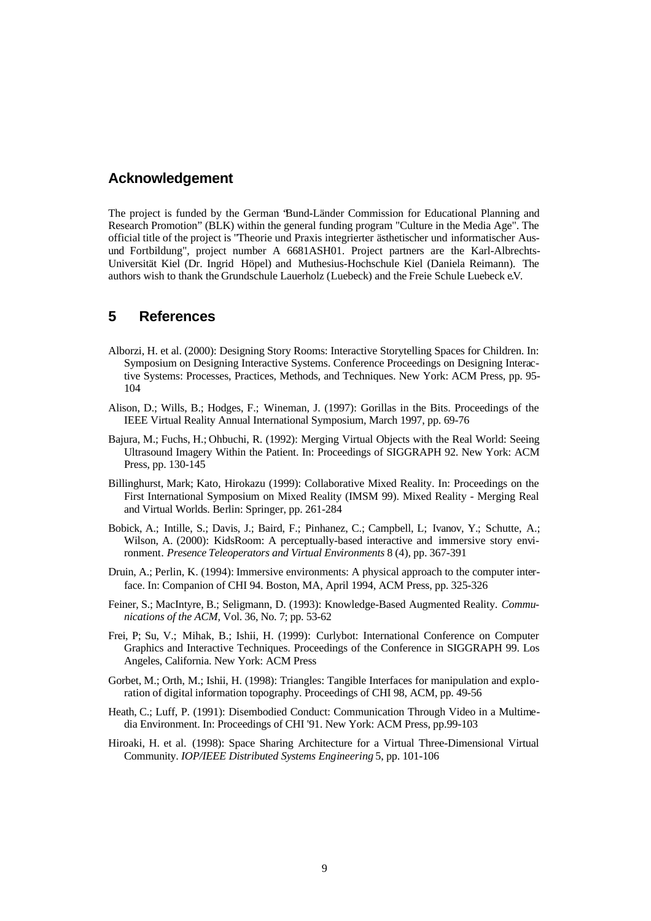#### **Acknowledgement**

The project is funded by the German "Bund-Länder Commission for Educational Planning and Research Promotion" (BLK) within the general funding program "Culture in the Media Age". The official title of the project is "Theorie und Praxis integrierter ästhetischer und informatischer Ausund Fortbildung", project number A 6681ASH01. Project partners are the Karl-Albrechts-Universität Kiel (Dr. Ingrid Höpel) and Muthesius-Hochschule Kiel (Daniela Reimann). The authors wish to thank the Grundschule Lauerholz (Luebeck) and the Freie Schule Luebeck e.V.

### **5 References**

- Alborzi, H. et al. (2000): Designing Story Rooms: Interactive Storytelling Spaces for Children. In: Symposium on Designing Interactive Systems. Conference Proceedings on Designing Interactive Systems: Processes, Practices, Methods, and Techniques. New York: ACM Press, pp. 95- 104
- Alison, D.; Wills, B.; Hodges, F.; Wineman, J. (1997): Gorillas in the Bits. Proceedings of the IEEE Virtual Reality Annual International Symposium, March 1997, pp. 69-76
- Bajura, M.; Fuchs, H.; Ohbuchi, R. (1992): Merging Virtual Objects with the Real World: Seeing Ultrasound Imagery Within the Patient. In: Proceedings of SIGGRAPH 92. New York: ACM Press, pp. 130-145
- Billinghurst, Mark; Kato, Hirokazu (1999): Collaborative Mixed Reality. In: Proceedings on the First International Symposium on Mixed Reality (IMSM 99). Mixed Reality - Merging Real and Virtual Worlds. Berlin: Springer, pp. 261-284
- Bobick, A.; Intille, S.; Davis, J.; Baird, F.; Pinhanez, C.; Campbell, L; Ivanov, Y.; Schutte, A.; Wilson, A. (2000): KidsRoom: A perceptually-based interactive and immersive story environment*. Presence Teleoperators and Virtual Environments* 8 (4), pp. 367-391
- Druin, A.; Perlin, K. (1994): Immersive environments: A physical approach to the computer interface. In: Companion of CHI 94. Boston, MA, April 1994, ACM Press, pp. 325-326
- Feiner, S.; MacIntyre, B.; Seligmann, D. (1993): Knowledge-Based Augmented Reality. *Communications of the ACM,* Vol. 36, No. 7; pp. 53-62
- Frei, P; Su, V.; Mihak, B.; Ishii, H. (1999): Curlybot: International Conference on Computer Graphics and Interactive Techniques. Proceedings of the Conference in SIGGRAPH 99. Los Angeles, California. New York: ACM Press
- Gorbet, M.; Orth, M.; Ishii, H. (1998): Triangles: Tangible Interfaces for manipulation and exploration of digital information topography. Proceedings of CHI 98, ACM, pp. 49-56
- Heath, C.; Luff, P. (1991): Disembodied Conduct: Communication Through Video in a Multimedia Environment. In: Proceedings of CHI '91. New York: ACM Press, pp.99-103
- Hiroaki, H. et al. (1998): Space Sharing Architecture for a Virtual Three-Dimensional Virtual Community. *IOP/IEEE Distributed Systems Engineering* 5, pp. 101-106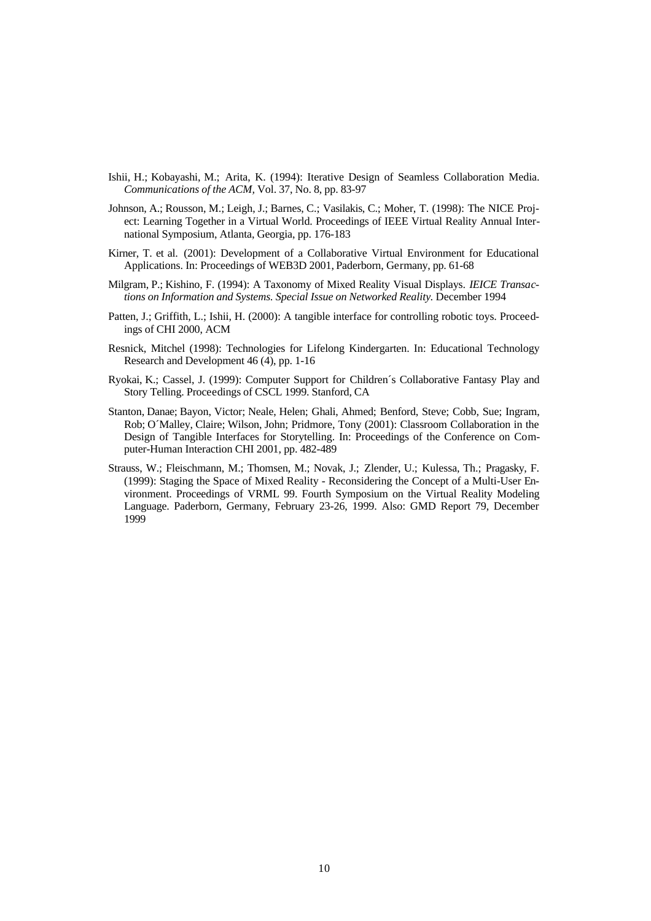- Ishii, H.; Kobayashi, M.; Arita, K. (1994): Iterative Design of Seamless Collaboration Media. *Communications of the ACM,* Vol. 37, No. 8, pp. 83-97
- Johnson, A.; Rousson, M.; Leigh, J.; Barnes, C.; Vasilakis, C.; Moher, T. (1998): The NICE Project: Learning Together in a Virtual World. Proceedings of IEEE Virtual Reality Annual International Symposium, Atlanta, Georgia, pp. 176-183
- Kirner, T. et al. (2001): Development of a Collaborative Virtual Environment for Educational Applications. In: Proceedings of WEB3D 2001, Paderborn, Germany, pp. 61-68
- Milgram, P.; Kishino, F. (1994): A Taxonomy of Mixed Reality Visual Displays. *IEICE Transactions on Information and Systems. Special Issue on Networked Reality.* December 1994
- Patten, J.; Griffith, L.; Ishii, H. (2000): A tangible interface for controlling robotic toys. Proceedings of CHI 2000, ACM
- Resnick, Mitchel (1998): Technologies for Lifelong Kindergarten. In: Educational Technology Research and Development 46 (4), pp. 1-16
- Ryokai, K.; Cassel, J. (1999): Computer Support for Children´s Collaborative Fantasy Play and Story Telling. Proceedings of CSCL 1999. Stanford, CA
- Stanton, Danae; Bayon, Victor; Neale, Helen; Ghali, Ahmed; Benford, Steve; Cobb, Sue; Ingram, Rob; O´Malley, Claire; Wilson, John; Pridmore, Tony (2001): Classroom Collaboration in the Design of Tangible Interfaces for Storytelling. In: Proceedings of the Conference on Computer-Human Interaction CHI 2001, pp. 482-489
- Strauss, W.; Fleischmann, M.; Thomsen, M.; Novak, J.; Zlender, U.; Kulessa, Th.; Pragasky, F. (1999): Staging the Space of Mixed Reality - Reconsidering the Concept of a Multi-User Environment. Proceedings of VRML 99. Fourth Symposium on the Virtual Reality Modeling Language. Paderborn, Germany, February 23-26, 1999. Also: GMD Report 79, December 1999